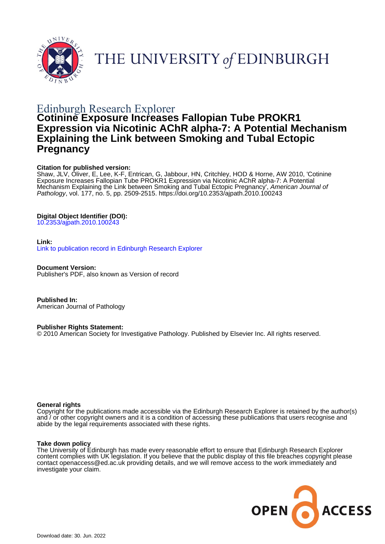



# Edinburgh Research Explorer

## **Cotinine Exposure Increases Fallopian Tube PROKR1 Expression via Nicotinic AChR alpha-7: A Potential Mechanism Explaining the Link between Smoking and Tubal Ectopic Pregnancy**

### **Citation for published version:**

Shaw, JLV, Oliver, E, Lee, K-F, Entrican, G, Jabbour, HN, Critchley, HOD & Horne, AW 2010, 'Cotinine Exposure Increases Fallopian Tube PROKR1 Expression via Nicotinic AChR alpha-7: A Potential Mechanism Explaining the Link between Smoking and Tubal Ectopic Pregnancy', American Journal of Pathology, vol. 177, no. 5, pp. 2509-2515.<https://doi.org/10.2353/ajpath.2010.100243>

## **Digital Object Identifier (DOI):**

[10.2353/ajpath.2010.100243](https://doi.org/10.2353/ajpath.2010.100243)

#### **Link:**

[Link to publication record in Edinburgh Research Explorer](https://www.research.ed.ac.uk/en/publications/f7526a1a-0f57-4eae-a2d9-7b4d564389f1)

**Document Version:** Publisher's PDF, also known as Version of record

**Published In:** American Journal of Pathology

**Publisher Rights Statement:**

© 2010 American Society for Investigative Pathology. Published by Elsevier Inc. All rights reserved.

#### **General rights**

Copyright for the publications made accessible via the Edinburgh Research Explorer is retained by the author(s) and / or other copyright owners and it is a condition of accessing these publications that users recognise and abide by the legal requirements associated with these rights.

#### **Take down policy**

The University of Edinburgh has made every reasonable effort to ensure that Edinburgh Research Explorer content complies with UK legislation. If you believe that the public display of this file breaches copyright please contact openaccess@ed.ac.uk providing details, and we will remove access to the work immediately and investigate your claim.

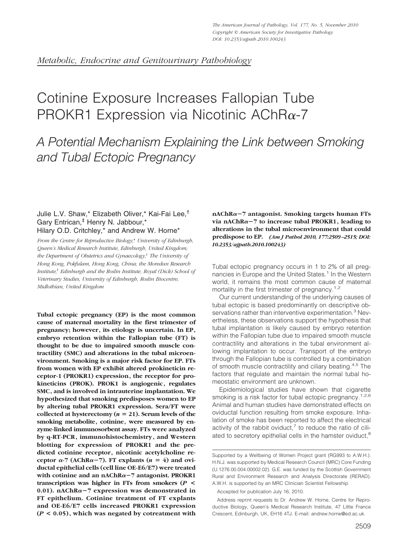# Cotinine Exposure Increases Fallopian Tube PROKR1 Expression via Nicotinic AChR $\alpha$ -7

*A Potential Mechanism Explaining the Link between Smoking and Tubal Ectopic Pregnancy*

#### Julie L.V. Shaw,\* Elizabeth Oliver,\* Kai-Fai Lee,† Gary Entrican,‡ Henry N. Jabbour,\* Hilary O.D. Critchley,\* and Andrew W. Horne\*

*From the Centre for Reproductive Biology,*\* *University of Edinburgh, Queen's Medical Research Institute, Edinburgh, United Kingdom; the Department of Obstetrics and Gynaecology,*† *The University of Hong Kong, Pokfulam, Hong Kong, China; the Moredun Research Institute,*‡ *Edinburgh and the Roslin Institute, Royal (Dick) School of Veterinary Studies, University of Edinburgh, Roslin Biocentre, Midlothian, United Kingdom*

**Tubal ectopic pregnancy (EP) is the most common cause of maternal mortality in the first trimester of pregnancy; however, its etiology is uncertain. In EP, embryo retention within the Fallopian tube (FT) is thought to be due to impaired smooth muscle contractility (SMC) and alterations in the tubal microenvironment. Smoking is a major risk factor for EP. FTs from women with EP exhibit altered prokineticin receptor-1 (PROKR1) expression, the receptor for prokineticins (PROK). PROK1 is angiogenic, regulates SMC, and is involved in intrauterine implantation. We hypothesized that smoking predisposes women to EP by altering tubal PROKR1 expression. Sera/FT were collected at hysterectomy (** $n = 21$ **). Serum levels of the smoking metabolite, cotinine, were measured by enzyme-linked immunosorbent assay. FTs were analyzed by q-RT-PCR, immunohistochemistry, and Western blotting for expression of PROKR1 and the predicted cotinine receptor, nicotinic acetylcholine re**ceptor  $\alpha$ -7 (AChR $\alpha$ -7). FT explants ( $n = 4$ ) and ovi**ductal epithelial cells (cell line OE-E6/E7) were treated with cotinine and an nAChR**-**7 antagonist. PROKR1 transcription was higher in FTs from smokers (***P* **< 0.01). nAChR**-**7 expression was demonstrated in FT epithelium. Cotinine treatment of FT explants and OE-E6/E7 cells increased PROKR1 expression (***P* **< 0.05), which was negated by cotreatment with**

**nAChR**-**7 antagonist. Smoking targets human FTs via nAChR**-**7 to increase tubal PROKR1, leading to alterations in the tubal microenvironment that could predispose to EP.** *(Am J Pathol 2010, 177:2509 –2515; DOI: 10.2353/ajpath.2010.100243)*

Tubal ectopic pregnancy occurs in 1 to 2% of all pregnancies in Europe and the United States.<sup>1</sup> In the Western world, it remains the most common cause of maternal mortality in the first trimester of pregnancy.<sup>1,2</sup>

Our current understanding of the underlying causes of tubal ectopic is based predominantly on descriptive observations rather than interventive experimentation.<sup>3</sup> Nevertheless, these observations support the hypothesis that tubal implantation is likely caused by embryo retention within the Fallopian tube due to impaired smooth muscle contractility and alterations in the tubal environment allowing implantation to occur. Transport of the embryo through the Fallopian tube is controlled by a combination of smooth muscle contractility and ciliary beating.<sup>4,5</sup> The factors that regulate and maintain the normal tubal homeostatic environment are unknown.

Epidemiological studies have shown that cigarette smoking is a risk factor for tubal ectopic pregnancy.<sup>1,2,6</sup> Animal and human studies have demonstrated effects on oviductal function resulting from smoke exposure. Inhalation of smoke has been reported to affect the electrical activity of the rabbit oviduct, $^7$  to reduce the ratio of ciliated to secretory epithelial cells in the hamster oviduct,<sup>8</sup>

Accepted for publication July 16, 2010.

Supported by a Wellbeing of Women Project grant (RG993 to A.W.H.). H.N.J. was supported by Medical Research Council (MRC) Core Funding (U.1276.00.004.00002.02). G.E. was funded by the Scottish Government Rural and Environment Research and Analysis Directorate (RERAD). A.W.H. is supported by an MRC Clinician Scientist Fellowship.

Address reprint requests to Dr. Andrew W. Horne, Centre for Reproductive Biology, Queen's Medical Research Institute, 47 Little France Crescent, Edinburgh, UK, EH16 4TJ. E-mail: andrew.horne@ed.ac.uk.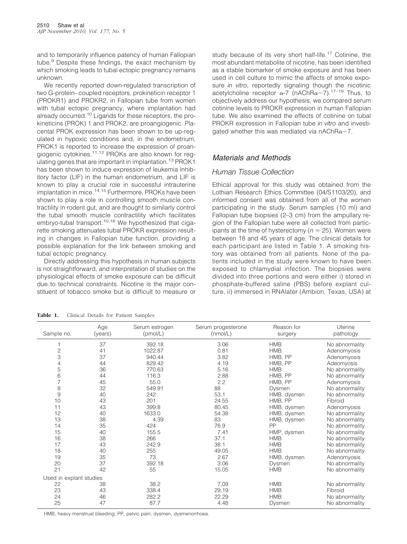and to temporarily influence patency of human Fallopian tube.<sup>9</sup> Despite these findings, the exact mechanism by which smoking leads to tubal ectopic pregnancy remains unknown.

We recently reported down-regulated transcription of two G-protein– coupled receptors, prokineticin receptor 1 (PROKR1) and PROKR2, in Fallopian tube from women with tubal ectopic pregnancy, where implantation had already occurred.10 Ligands for these receptors, the prokineticins (PROK) 1 and PROK2, are proangiogenic. Placental PROK expression has been shown to be up-regulated in hypoxic conditions and, in the endometrium, PROK1 is reported to increase the expression of proangiogenic cytokines.11,12 PROKs are also known for regulating genes that are important in implantation.<sup>13</sup> PROK1 has been shown to induce expression of leukemia inhibitory factor (LIF) in the human endometrium, and LIF is known to play a crucial role in successful intrauterine implantation in mice.<sup>14,15</sup> Furthermore, PROKs have been shown to play a role in controlling smooth muscle contractility in rodent gut, and are thought to similarly control the tubal smooth muscle contractility which facilitates embryo-tubal transport.<sup>10,16</sup> We hypothesized that cigarette smoking attenuates tubal PROKR expression resulting in changes in Fallopian tube function, providing a possible explanation for the link between smoking and tubal ectopic pregnancy.

Directly addressing this hypothesis in human subjects is not straightforward, and interpretation of studies on the physiological effects of smoke exposure can be difficult due to technical constraints. Nicotine is the major constituent of tobacco smoke but is difficult to measure or study because of its very short half-life.<sup>17</sup> Cotinine, the most abundant metabolite of nicotine, has been identified as a stable biomarker of smoke exposure and has been used in cell culture to mimic the affects of smoke exposure *in vitro*, reportedly signaling though the nicotinic acetylcholine receptor  $\alpha$ -7 (nAChR $\alpha$ -7).<sup>17–19</sup> Thus, to objectively address our hypothesis, we compared serum cotinine levels to PROKR expression in human Fallopian tube. We also examined the effects of cotinine on tubal PROKR expression in Fallopian tube *in vitro* and investigated whether this was mediated via nAChR $\alpha$ -7.

#### *Materials and Methods*

#### *Human Tissue Collection*

Ethical approval for this study was obtained from the Lothian Research Ethics Committee (04/S1103/20), and informed consent was obtained from all of the women participating in the study. Serum samples (10 ml) and Fallopian tube biopsies (2–3 cm) from the ampullary region of the Fallopian tube were all collected from participants at the time of hysterectomy  $(n = 25)$ . Women were between 18 and 45 years of age. The clinical details for each participant are listed in Table 1. A smoking history was obtained from all patients. None of the patients included in the study were known to have been exposed to chlamydial infection. The biopsies were divided into three portions and were either i) stored in phosphate-buffered saline (PBS) before explant culture, ii) immersed in RNAlater (Ambion, Texas, USA) at

| Sample no.              | Age<br>(years) | Serum estrogen<br>(pmol/L) | Serum progesterone<br>(mmol/L) | Reason for<br>surgery | Uterine<br>pathology |
|-------------------------|----------------|----------------------------|--------------------------------|-----------------------|----------------------|
| 1                       | 37             | 392.18                     | 3.06                           | <b>HMB</b>            | No abnormality       |
| $\overline{c}$          | 41             | 1022.87                    | 0.81                           | <b>HMB</b>            | Adenomyosis          |
| 3                       | 37             | 940.44                     | 3.82                           | HMB, PP               | Adenomyosis          |
| 4                       | 44             | 829.42                     | 4.19                           | HMB, PP               | Adeomyosis           |
| 5                       | 36             | 770.63                     | 5.16                           | <b>HMB</b>            | No abnormality       |
| 6                       | 44             | 116.3                      | 2.88                           | HMB, PP               | No abnormality       |
| $\overline{7}$          | 45             | 55.0                       | 2.2                            | HMB, PP               | Adenomyosis          |
| 8                       | 32             | 549.91                     | 88                             | Dysmen                | No abnormality       |
| 9                       | 40             | 242                        | 53.1                           | HMB, dysmen           | No abnormality       |
| 10                      | 43             | 201                        | 24.55                          | HMB, PP               | Fibroid              |
| 11                      | 43             | 399.8                      | 80.45                          | HMB, dysmen           | Adenomyosis          |
| 12                      | 40             | 1633.0                     | 54.38                          | HMB, dysmen           | No abnormality       |
| 13                      | 38             | 4.39                       | 83                             | HMB, dysmen           | No abnormality       |
| 14                      | 35             | 424                        | 76.9                           | PP                    | No abnormality       |
| 15                      | 40             | 155.5                      | 7.41                           | HMP, dysmen           | No abnormality       |
| 16                      | 38             | 266                        | 37.1                           | <b>HMB</b>            | No abnormality       |
| 17                      | 43             | 242.9                      | 38.1                           | <b>HMB</b>            | No abnormality       |
| 18                      | 40             | 255                        | 49.05                          | <b>HMB</b>            | No abnormality       |
| 19                      | 35             | 73                         | 2.67                           | HMB, dysmen           | Adenomyosis          |
| 20                      | 37             | 392.18                     | 3.06                           | Dysmen                | No abnormality       |
| 21                      | 42             | 55                         | 15.05                          | <b>HMB</b>            | No abnormality       |
| Used in explant studies |                |                            |                                |                       |                      |
| 22                      | 38             | 38.2                       | 7.09                           | <b>HMB</b>            | No abnormality       |
| 23                      | 43             | 338.4                      | 29.19                          | <b>HMB</b>            | Fibroid              |
| 24                      | 46             | 282.2                      | 22.29                          | <b>HMB</b>            | No abnormality       |
| 25                      | 47             | 87.7                       | 4.48                           | Dysmen                | No abnormality       |

**Table 1.** Clinical Details for Patient Samples

HMB, heavy menstrual bleeding; PP, pelvic pain; dysmen, dysmenorrhoea.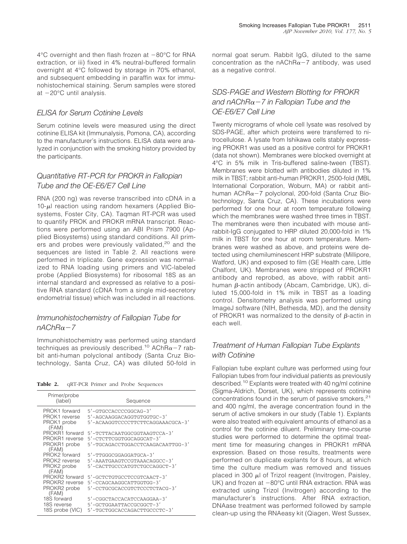$4^{\circ}$ C overnight and then flash frozen at  $-80^{\circ}$ C for RNA extraction, or iii) fixed in 4% neutral-buffered formalin overnight at 4°C followed by storage in 70% ethanol, and subsequent embedding in paraffin wax for immunohistochemical staining. Serum samples were stored at  $-20^{\circ}$ C until analysis.

## *ELISA for Serum Cotinine Levels*

Serum cotinine levels were measured using the direct cotinine ELISA kit (Immunalysis, Pomona, CA), according to the manufacturer's instructions. ELISA data were analyzed in conjunction with the smoking history provided by the participants.

## *Quantitative RT-PCR for PROKR in Fallopian Tube and the OE-E6/E7 Cell Line*

RNA (200 ng) was reverse transcribed into cDNA in a  $10-\mu$  reaction using random hexamers (Applied Biosystems, Foster City, CA). Taqman RT-PCR was used to quantify PROK and PROKR mRNA transcript. Reactions were performed using an ABI Prism 7900 (Applied Biosystems) using standard conditions. All primers and probes were previously validated,<sup>20</sup> and the sequences are listed in Table 2. All reactions were performed in triplicate. Gene expression was normalized to RNA loading using primers and VIC-labeled probe (Applied Biosystems) for ribosomal 18S as an internal standard and expressed as relative to a positive RNA standard (cDNA from a single mid-secretory endometrial tissue) which was included in all reactions.

### *Immunohistochemistry of Fallopian Tube for*  $n$ *AChR* $\alpha$ <sup>-7</sup>

Immunohistochemistry was performed using standard techniques as previously described.<sup>10</sup> AChR $\alpha$ -7 rabbit anti-human polyclonal antibody (Santa Cruz Biotechnology, Santa Cruz, CA) was diluted 50-fold in

**Table 2.** qRT-PCR Primer and Probe Sequences

| Primer/probe<br>(label)               | Sequence                                                        |
|---------------------------------------|-----------------------------------------------------------------|
| PROK1 forward                         | 5'-GTGCCACCCCGGCAG-3'                                           |
| PROK1 reverse<br>PROK1 probe<br>(FAM) | 5'-AGCAAGGACAGGTGTGGTGC-3'<br>5'-ACAAGGTCCCCTTCTTCAGGAAACGCA-3' |
| PROKR1 forward                        | 5'-TCTTACAATGGCGGTAAGTCCA-3'                                    |
| PROKR1 reverse                        | 5'-CTCTTCGGTGGCAGGCAT-3'                                        |
| PROKR1 probe<br>(FAM)                 | 5'-TGCAGACCTGGACCTCAAGACAATTGG-3'                               |
| PROK2 forward                         | 5'-TTGGGCGGAGGATGCA-3'                                          |
| PROK2 reverse                         | 5'-AAATGAAGTCCGTAAACAGGCC-3'                                    |
| PROK2 probe<br>(FAM)                  | 5'-CACTTGCCCATGTCTGCCAGGCT-3'                                   |
| PROKR2 forward                        | 5'-GCTCTGTGCCTCCGTCAACT-3'                                      |
| PROKR2 reverse                        | 5'-CCAGCAAGGCATTGGTGG-3'                                        |
| PROKR2 probe<br>(FAM)                 | 5'-CCTGCGCACCGTCTCCCTCTACG-3'                                   |
| 18S forward                           | 5'-CGGCTACCACATCCAAGGAA-3'                                      |
| 18S reverse                           | 5'-GCTGGAATTACCGCGGCT-3'                                        |
| 18S probe (VIC)                       | 5'-TGCTGGCACCAGACTTGCCCTC-3'                                    |

normal goat serum. Rabbit IgG, diluted to the same concentration as the nAChR $\alpha$ -7 antibody, was used as a negative control.

## *SDS-PAGE and Western Blotting for PROKR and nAChRα-7 in Fallopian Tube and the OE-E6/E7 Cell Line*

Twenty micrograms of whole cell lysate was resolved by SDS-PAGE, after which proteins were transferred to nitrocellulose. A lysate from Ishikawa cells stably expressing PROKR1 was used as a positive control for PROKR1 (data not shown). Membranes were blocked overnight at 4°C in 5% milk in Tris-buffered saline-tween (TBST). Membranes were blotted with antibodies diluted in 1% milk in TBST; rabbit anti-human PROKR1, 2500-fold (MBL International Corporation, Woburn, MA) or rabbit antihuman AChR $\alpha$ -7 polyclonal, 200-fold (Santa Cruz Biotechnology, Santa Cruz, CA). These incubations were performed for one hour at room temperature following which the membranes were washed three times in TBST. The membranes were then incubated with mouse antirabbit-IgG conjugated to HRP diluted 20,000-fold in 1% milk in TBST for one hour at room temperature. Membranes were washed as above, and proteins were detected using chemiluminescent HRP substrate (Millipore, Watford, UK) and exposed to film (GE Health care, Little Chalfont, UK). Membranes were stripped of PROKR1 antibody and reprobed, as above, with rabbit antihuman  $\beta$ -actin antibody (Abcam, Cambridge, UK), diluted 15,000-fold in 1% milk in TBST as a loading control. Densitometry analysis was performed using ImageJ software (NIH, Bethesda, MD), and the density of PROKR1 was normalized to the density of  $\beta$ -actin in each well.

## *Treatment of Human Fallopian Tube Explants with Cotinine*

Fallopian tube explant culture was performed using four Fallopian tubes from four individual patients as previously described.10 Explants were treated with 40 ng/ml cotinine (Sigma-Aldrich, Dorset, UK), which represents cotinine concentrations found in the serum of passive smokers,<sup>21</sup> and 400 ng/ml, the average concentration found in the serum of active smokers in our study (Table 1). Explants were also treated with equivalent amounts of ethanol as a control for the cotinine diluent. Preliminary time-course studies were performed to determine the optimal treatment time for measuring changes in PROKR1 mRNA expression. Based on those results, treatments were performed on duplicate explants for 8 hours, at which time the culture medium was removed and tissues placed in 300  $\mu$ l of Trizol reagent (Invitrogen, Paisley, UK) and frozen at  $-80^{\circ}$ C until RNA extraction. RNA was extracted using Trizol (Invitrogen) according to the manufacturer's instructions. After RNA extraction, DNAase treatment was performed followed by sample clean-up using the RNAeasy kit (Qiagen, West Sussex,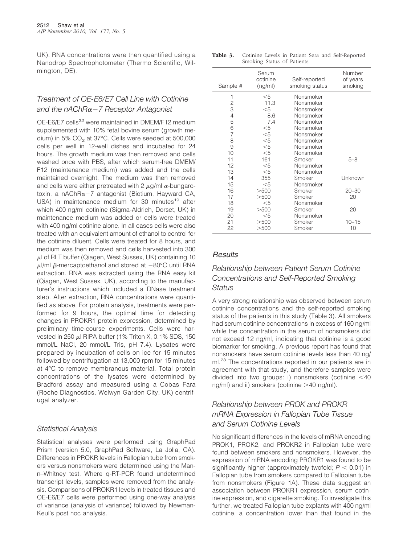UK). RNA concentrations were then quantified using a Nanodrop Spectrophotometer (Thermo Scientific, Wilmington, DE).

## *Treatment of OE-E6/E7 Cell Line with Cotinine and the nAChR7 Receptor Antagonist*

OE-E6/E7 cells<sup>22</sup> were maintained in DMEM/F12 medium supplemented with 10% fetal bovine serum (growth medium) in 5%  $CO<sub>2</sub>$  at 37°C. Cells were seeded at 500,000 cells per well in 12-well dishes and incubated for 24 hours. The growth medium was then removed and cells washed once with PBS, after which serum-free DMEM/ F12 (maintenance medium) was added and the cells maintained overnight. The medium was then removed and cells were either pretreated with 2  $\mu$ g/ml  $\alpha$ -bungarotoxin, a nAChR $\alpha$ -7 antagonist (Biotium, Hayward CA, USA) in maintenance medium for 30 minutes<sup>19</sup> after which 400 ng/ml cotinine (Sigma-Aldrich, Dorset, UK) in maintenance medium was added or cells were treated with 400 ng/ml cotinine alone. In all cases cells were also treated with an equivalent amount of ethanol to control for the cotinine diluent. Cells were treated for 8 hours, and medium was then removed and cells harvested into 300  $\mu$ l of RLT buffer (Qiagen, West Sussex, UK) containing 10 μl/ml β-mercaptoethanol and stored at  $-80^{\circ}$ C until RNA extraction. RNA was extracted using the RNA easy kit (Qiagen, West Sussex, UK), according to the manufacturer's instructions which included a DNase treatment step. After extraction, RNA concentrations were quantified as above. For protein analysis, treatments were performed for 9 hours, the optimal time for detecting changes in PROKR1 protein expression, determined by preliminary time-course experiments. Cells were harvested in 250  $\mu$ l RIPA buffer (1% Triton X, 0.1% SDS, 150 mmol/L NaCl, 20 mmol/L Tris, pH 7.4). Lysates were prepared by incubation of cells on ice for 15 minutes followed by centrifugation at 13,000 rpm for 15 minutes at 4°C to remove membranous material. Total protein concentrations of the lysates were determined by Bradford assay and measured using a Cobas Fara (Roche Diagnostics, Welwyn Garden City, UK) centrifugal analyzer.

#### *Statistical Analysis*

Statistical analyses were performed using GraphPad Prism (version 5.0, GraphPad Software, La Jolla, CA). Differences in PROKR levels in Fallopian tube from smokers versus nonsmokers were determined using the Mann–Whitney test. Where q-RT-PCR found undetermined transcript levels, samples were removed from the analysis. Comparisons of PROKR1 levels in treated tissues and OE-E6/E7 cells were performed using one-way analysis of variance (analysis of variance) followed by Newman-Keul's post hoc analysis.

| Table 3. |                            |  |  | Cotinine Levels in Patient Sera and Self-Reported |
|----------|----------------------------|--|--|---------------------------------------------------|
|          | Smoking Status of Patients |  |  |                                                   |

| Sample #       | Serum<br>cotinine<br>(ng/ml) | Self-reported<br>smoking status | Number<br>of years<br>smoking |
|----------------|------------------------------|---------------------------------|-------------------------------|
| 1              | $<$ 5                        | Nonsmoker                       |                               |
| 2              | 11.3                         | Nonsmoker                       |                               |
| 3              | $<$ 5                        | Nonsmoker                       |                               |
| 4              | 8.6                          | Nonsmoker                       |                               |
| 5              | 7.4                          | Nonsmoker                       |                               |
| 6              | $<$ 5                        | Nonsmoker                       |                               |
| $\overline{7}$ | $<$ 5                        | Nonsmoker                       |                               |
| 8              | $<$ 5                        | Nonsmoker                       |                               |
| 9              | $<$ 5                        | Nonsmoker                       |                               |
| 10             | $<$ 5                        | Nonsmoker                       |                               |
| 11             | 161                          | Smoker                          | $5 - 8$                       |
| 12             | $<$ 5                        | Nonsmoker                       |                               |
| 13             | $<$ 5                        | Nonsmoker                       |                               |
| 14             | 355                          | Smoker                          | Unknown                       |
| 15             | $<$ 5                        | Nonsmoker                       |                               |
| 16             | >500                         | Smoker                          | $20 - 30$                     |
| 17             | >500                         | Smoker                          | 20                            |
| 18             | $<$ 5                        | Nonsmoker                       |                               |
| 19             | >500                         | Smoker                          | 20                            |
| 20             | $<$ 5                        | Nonsmoker                       |                               |
| 21             | >500                         | Smoker                          | $10 - 15$                     |
| 22             | >500                         | Smoker                          | 10                            |

## *Results*

## *Relationship between Patient Serum Cotinine Concentrations and Self-Reported Smoking Status*

A very strong relationship was observed between serum cotinine concentrations and the self-reported smoking status of the patients in this study (Table 3). All smokers had serum cotinine concentrations in excess of 160 ng/ml while the concentration in the serum of nonsmokers did not exceed 12 ng/ml, indicating that cotinine is a good biomarker for smoking. A previous report has found that nonsmokers have serum cotinine levels less than 40 ng/ ml.<sup>23</sup> The concentrations reported in our patients are in agreement with that study, and therefore samples were divided into two groups: i) nonsmokers (cotinine  $<$ 40 ng/ml) and ii) smokers (cotinine  $>40$  ng/ml).

## *Relationship between PROK and PROKR mRNA Expression in Fallopian Tube Tissue and Serum Cotinine Levels*

No significant differences in the levels of mRNA encoding PROK1, PROK2, and PROKR2 in Fallopian tube were found between smokers and nonsmokers. However, the expression of mRNA encoding PROKR1 was found to be significantly higher (approximately twofold;  $P < 0.01$ ) in Fallopian tube from smokers compared to Fallopian tube from nonsmokers (Figure 1A). These data suggest an association between PROKR1 expression, serum cotinine expression, and cigarette smoking. To investigate this further, we treated Fallopian tube explants with 400 ng/ml cotinine, a concentration lower than that found in the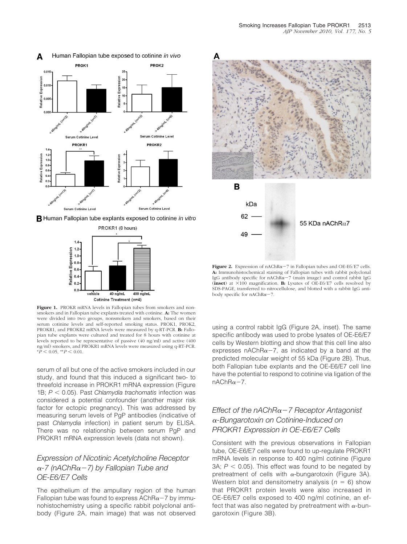

Human Fallopian tube exposed to cotinine in vivo A





Figure 1. PROKR mRNA levels in Fallopian tubes from smokers and nonsmokers and in Fallopian tube explants treated with cotinine. **A:** The women were divided into two groups, nonsmokers and smokers, based on their serum cotinine levels and self-reported smoking status. PROK1, PROK2, PROKR1, and PROKR2 mRNA levels were measured by q-RT-PCR. **B:** Fallopian tube explants were cultured and treated for 8 hours with cotinine at levels reported to be representative of passive (40 ng/ml) and active (400 ng/ml) smokers, and PROKR1 mRNA levels were measured using q-RT-PCR.  $*P$  < 0.05,  $*P$  < 0.01.

serum of all but one of the active smokers included in our study, and found that this induced a significant two- to threefold increase in PROKR1 mRNA expression (Figure 1B; *P* 0.05). Past *Chlamydia trachomatis* infection was considered a potential confounder (another major risk factor for ectopic pregnancy). This was addressed by measuring serum levels of PgP antibodies (indicative of past *Chlamydia* infection) in patient serum by ELISA. There was no relationship between serum PgP and PROKR1 mRNA expression levels (data not shown).

## *Expression of Nicotinic Acetylcholine Receptor -7 (nAChR7) by Fallopian Tube and OE-E6/E7 Cells*

The epithelium of the ampullary region of the human Fallopian tube was found to express  $AChR\alpha - 7$  by immunohistochemistry using a specific rabbit polyclonal antibody (Figure 2A, main image) that was not observed



**Figure 2.** Expression of  $nAChR\alpha-7$  in Fallopian tubes and OE-E6/E7 cells. **A:** Immunohistochemical staining of Fallopian tubes with rabbit polyclonal IgG antibody specific for  $nAChR\alpha-7$  (main image) and control rabbit IgG (inset) at  $\times$ 100 magnification. **B:** Lysates of OE-E6/E7 cells resolved by SDS-PAGE, transferred to nitrocellulose, and blotted with a rabbit IgG antibody specific for  $n\text{AChR}\alpha-7$ .

using a control rabbit IgG (Figure 2A, inset). The same specific antibody was used to probe lysates of OE-E6/E7 cells by Western blotting and show that this cell line also expresses nAChR $\alpha$ -7, as indicated by a band at the predicted molecular weight of 55 kDa (Figure 2B). Thus, both Fallopian tube explants and the OE-E6/E7 cell line have the potential to respond to cotinine via ligation of the  $nAChR\alpha-7$ .

## *Effect of the nAChR7 Receptor Antagonist -Bungarotoxin on Cotinine-Induced on PROKR1 Expression in OE-E6/E7 Cells*

Consistent with the previous observations in Fallopian tube, OE-E6/E7 cells were found to up-regulate PROKR1 mRNA levels in response to 400 ng/ml cotinine (Figure 3A;  $P < 0.05$ ). This effect was found to be negated by pretreatment of cells with  $\alpha$ -bungarotoxin (Figure 3A). Western blot and densitometry analysis  $(n = 6)$  show that PROKR1 protein levels were also increased in OE-E6/E7 cells exposed to 400 ng/ml cotinine, an effect that was also negated by pretreatment with  $\alpha$ -bungarotoxin (Figure 3B).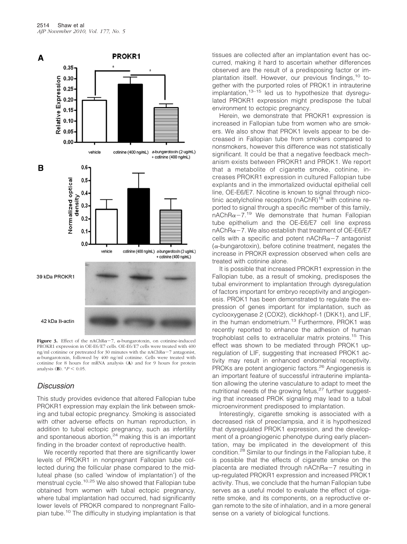

**Figure 3.** Effect of the nAChR $\alpha$ -7,  $\alpha$ -bungarotoxin, on cotinine-induced PROKR1 expression in OE-E6/E7 cells. OE-E6/E7 cells were treated with 400 ng/ml cotinine or pretreated for 30 minutes with the nAChR $\alpha$ -7 antagonist,  $\alpha$ -bungarotoxin, followed by 400 ng/ml cotinine. Cells were treated with cotinine for 8 hours for mRNA analysis (**A**) and for 9 hours for protein analysis (**B**).  $*P < 0.05$ .

#### *Discussion*

This study provides evidence that altered Fallopian tube PROKR1 expression may explain the link between smoking and tubal ectopic pregnancy. Smoking is associated with other adverse effects on human reproduction, in addition to tubal ectopic pregnancy, such as infertility and spontaneous abortion. $24$  making this is an important finding in the broader context of reproductive health.

We recently reported that there are significantly lower levels of PROKR1 in nonpregnant Fallopian tube collected during the follicular phase compared to the midluteal phase (so called 'window of implantation') of the menstrual cycle.<sup>10,25</sup> We also showed that Fallopian tube obtained from women with tubal ectopic pregnancy, where tubal implantation had occurred, had significantly lower levels of PROKR compared to nonpregnant Fallopian tube.10 The difficulty in studying implantation is that tissues are collected after an implantation event has occurred, making it hard to ascertain whether differences observed are the result of a predisposing factor or implantation itself. However, our previous findings,<sup>10</sup> together with the purported roles of PROK1 in intrauterine implantation,  $13-15$  led us to hypothesize that dysregulated PROKR1 expression might predispose the tubal environment to ectopic pregnancy.

Herein, we demonstrate that PROKR1 expression is increased in Fallopian tube from women who are smokers. We also show that PROK1 levels appear to be decreased in Fallopian tube from smokers compared to nonsmokers, however this difference was not statistically significant. It could be that a negative feedback mechanism exists between PROKR1 and PROK1. We report that a metabolite of cigarette smoke, cotinine, increases PROKR1 expression in cultured Fallopian tube explants and in the immortalized oviductal epithelial cell line, OE-E6/E7. Nicotine is known to signal through nicotinic acetylcholine receptors (nAChR)<sup>18</sup> with cotinine reported to signal through a specific member of this family,  $nAChR\alpha-7$ <sup>19</sup> We demonstrate that human Fallopian tube epithelium and the OE-E6/E7 cell line express nAChR $\alpha$ -7. We also establish that treatment of OE-E6/E7 cells with a specific and potent  $nAChRa - 7$  antagonist ( $\alpha$ -bungarotoxin), before cotinine treatment, negates the increase in PROKR expression observed when cells are treated with cotinine alone.

It is possible that increased PROKR1 expression in the Fallopian tube, as a result of smoking, predisposes the tubal environment to implantation through dysregulation of factors important for embryo receptivity and angiogenesis. PROK1 has been demonstrated to regulate the expression of genes important for implantation, such as cyclooxygenase 2 (COX2), dickkhopf-1 (DKK1), and LIF, in the human endometrium.13 Furthermore, PROK1 was recently reported to enhance the adhesion of human trophoblast cells to extracellular matrix proteins.<sup>15</sup> This effect was shown to be mediated through PROK1 upregulation of LIF, suggesting that increased PROK1 activity may result in enhanced endometrial receptivity. PROKs are potent angiogenic factors.<sup>26</sup> Angiogenesis is an important feature of successful intrauterine implantation allowing the uterine vasculature to adapt to meet the nutritional needs of the growing fetus,<sup>27</sup> further suggesting that increased PROK signaling may lead to a tubal microenvironment predisposed to implantation.

Interestingly, cigarette smoking is associated with a decreased risk of preeclampsia, and it is hypothesized that dysregulated PROK1 expression, and the development of a proangiogenic phenotype during early placentation, may be implicated in the development of this condition.28 Similar to our findings in the Fallopian tube, it is possible that the effects of cigarette smoke on the placenta are mediated through  $nAChRa - 7$  resulting in up-regulated PROKR1 expression and increased PROK1 activity. Thus, we conclude that the human Fallopian tube serves as a useful model to evaluate the effect of cigarette smoke, and its components, on a reproductive organ remote to the site of inhalation, and in a more general sense on a variety of biological functions.